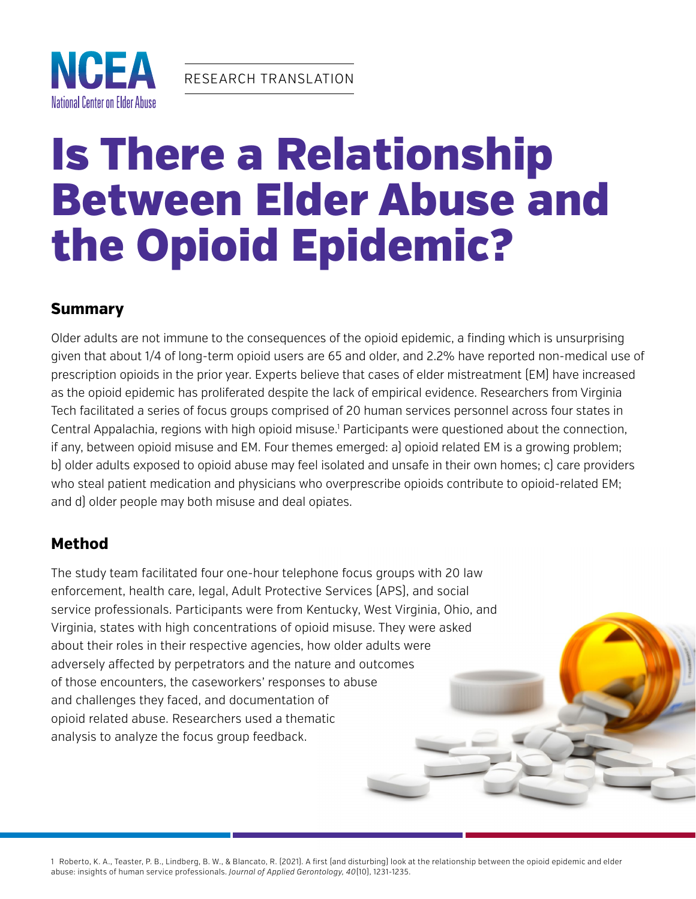



# Is There a Relationship Between Elder Abuse and the Opioid Epidemic?

#### **Summary**

Older adults are not immune to the consequences of the opioid epidemic, a finding which is unsurprising given that about 1/4 of long-term opioid users are 65 and older, and 2.2% have reported non-medical use of prescription opioids in the prior year. Experts believe that cases of elder mistreatment (EM) have increased as the opioid epidemic has proliferated despite the lack of empirical evidence. Researchers from Virginia Tech facilitated a series of focus groups comprised of 20 human services personnel across four states in Central Appalachia, regions with high opioid misuse.<sup>1</sup> Participants were questioned about the connection, if any, between opioid misuse and EM. Four themes emerged: a) opioid related EM is a growing problem; b) older adults exposed to opioid abuse may feel isolated and unsafe in their own homes; c) care providers who steal patient medication and physicians who overprescribe opioids contribute to opioid-related EM; and d) older people may both misuse and deal opiates.

## **Method**

The study team facilitated four one-hour telephone focus groups with 20 law enforcement, health care, legal, Adult Protective Services (APS), and social service professionals. Participants were from Kentucky, West Virginia, Ohio, and Virginia, states with high concentrations of opioid misuse. They were asked about their roles in their respective agencies, how older adults were adversely affected by perpetrators and the nature and outcomes of those encounters, the caseworkers' responses to abuse and challenges they faced, and documentation of opioid related abuse. Researchers used a thematic analysis to analyze the focus group feedback.